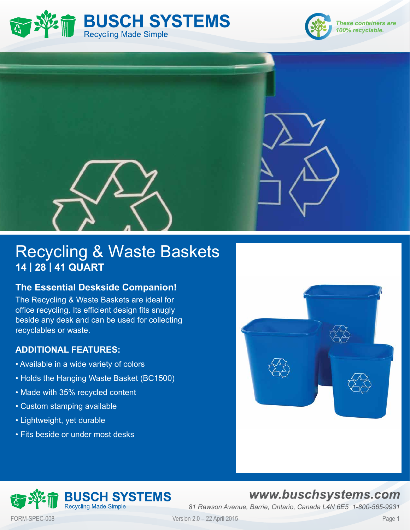





# Recycling & Waste Baskets **14 | 28 | 41 QUART**

### **The Essential Deskside Companion!**

The Recycling & Waste Baskets are ideal for office recycling. Its efficient design fits snugly beside any desk and can be used for collecting recyclables or waste.

### **ADDITIONAL FEATURES:**

- Available in a wide variety of colors
- Holds the Hanging Waste Basket (BC1500)
- Made with 35% recycled content
- Custom stamping available
- Lightweight, yet durable
- Fits beside or under most desks



### **JSCH SYSTEMS Recycling Made Simple**

## www.buschsystems.com

*81 Rawson Avenue, Barrie, Ontario, Canada L4N 6E5 1-800-565-9931*